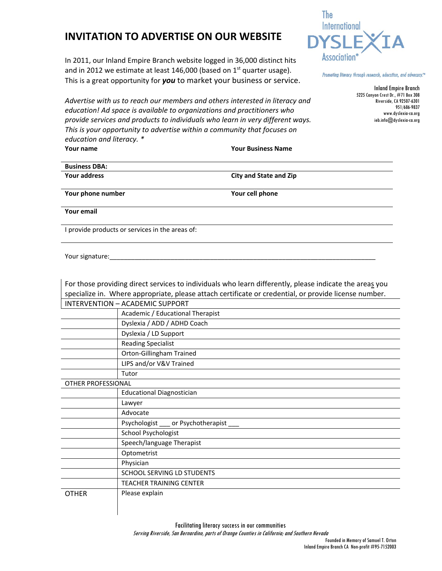## **INVITATION TO ADVERTISE ON OUR WEBSITE**

In 2011, our Inland Empire Branch website logged in 36,000 distinct hits and in 2012 we estimate at least 146,000 (based on  $1<sup>st</sup>$  quarter usage). This is a great opportunity for *you* to market your business or service.

*Advertise with us to reach our members and others interested in literacy and education! Ad space is available to organizations and practitioners who provide services and products to individuals who learn in very different ways. This is your opportunity to advertise within a community that focuses on education and literacy. \** **Your name Your Business Name**

The **International** Association

Promoting literacy through research, education, and advocacy.™

Inland Empire Branch 5225 Canyon Crest Dr., #71 Box 308 Riverside, CA 92507-6301 951/686-9837 www.dyslexia-ca.org ieb.info@dyslexia-ca.org

| <b>Business DBA:</b> |  |
|----------------------|--|
| Your address         |  |

**City** and **State** and **Zip** 

**Your phone number Your cell phone**

**Your email** 

I provide products or services in the areas of:

Your signature:

|                    | For those providing direct services to individuals who learn differently, please indicate the areas you |  |  |
|--------------------|---------------------------------------------------------------------------------------------------------|--|--|
|                    | specialize in. Where appropriate, please attach certificate or credential, or provide license number.   |  |  |
|                    | <b>INTERVENTION - ACADEMIC SUPPORT</b>                                                                  |  |  |
|                    | Academic / Educational Therapist                                                                        |  |  |
|                    | Dyslexia / ADD / ADHD Coach                                                                             |  |  |
|                    | Dyslexia / LD Support                                                                                   |  |  |
|                    | <b>Reading Specialist</b>                                                                               |  |  |
|                    | Orton-Gillingham Trained                                                                                |  |  |
|                    | LIPS and/or V&V Trained                                                                                 |  |  |
|                    | Tutor                                                                                                   |  |  |
| OTHER PROFESSIONAL |                                                                                                         |  |  |
|                    | <b>Educational Diagnostician</b>                                                                        |  |  |
|                    | Lawyer                                                                                                  |  |  |
|                    | Advocate                                                                                                |  |  |
|                    | Psychologist ____ or Psychotherapist ____                                                               |  |  |
|                    | School Psychologist                                                                                     |  |  |
|                    | Speech/language Therapist                                                                               |  |  |
|                    | Optometrist                                                                                             |  |  |
|                    | Physician                                                                                               |  |  |
|                    | <b>SCHOOL SERVING LD STUDENTS</b>                                                                       |  |  |
|                    | <b>TEACHER TRAINING CENTER</b>                                                                          |  |  |
| <b>OTHER</b>       | Please explain                                                                                          |  |  |
|                    |                                                                                                         |  |  |